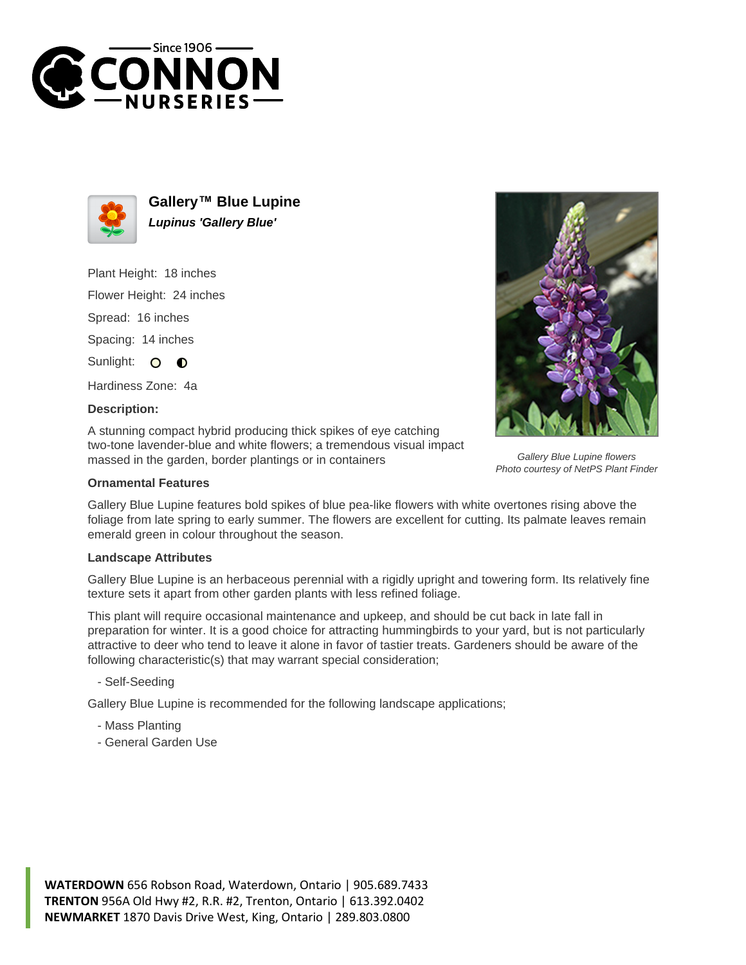



**Gallery™ Blue Lupine Lupinus 'Gallery Blue'**

Plant Height: 18 inches

Flower Height: 24 inches

Spread: 16 inches

Spacing: 14 inches

Sunlight: O  $\bullet$ 

Hardiness Zone: 4a

## **Description:**

A stunning compact hybrid producing thick spikes of eye catching two-tone lavender-blue and white flowers; a tremendous visual impact massed in the garden, border plantings or in containers

## **Ornamental Features**

Gallery Blue Lupine features bold spikes of blue pea-like flowers with white overtones rising above the foliage from late spring to early summer. The flowers are excellent for cutting. Its palmate leaves remain emerald green in colour throughout the season.

## **Landscape Attributes**

Gallery Blue Lupine is an herbaceous perennial with a rigidly upright and towering form. Its relatively fine texture sets it apart from other garden plants with less refined foliage.

This plant will require occasional maintenance and upkeep, and should be cut back in late fall in preparation for winter. It is a good choice for attracting hummingbirds to your yard, but is not particularly attractive to deer who tend to leave it alone in favor of tastier treats. Gardeners should be aware of the following characteristic(s) that may warrant special consideration;

- Self-Seeding

Gallery Blue Lupine is recommended for the following landscape applications;

- Mass Planting
- General Garden Use





Gallery Blue Lupine flowers Photo courtesy of NetPS Plant Finder